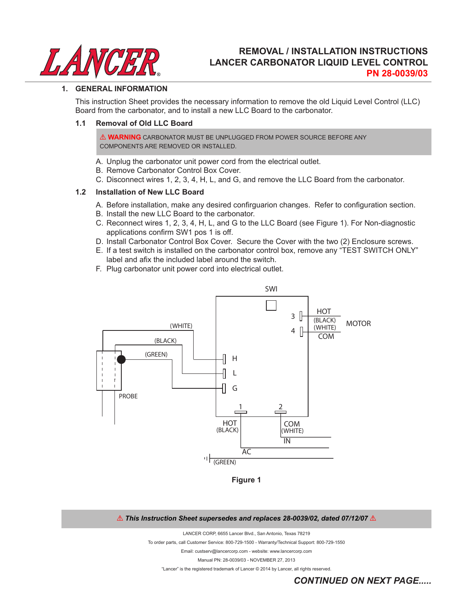

## **REMOVAL / INSTALLATION INSTRUCTIONS LANCER CARBONATOR LIQUID LEVEL CONTROL PN 28-0039/03**

#### **1. GENERAL INFORMATION**

 This instruction Sheet provides the necessary information to remove the old Liquid Level Control (LLC) Board from the carbonator, and to install a new LLC Board to the carbonator.

#### **1.1 Removal of Old LLC Board**

! **WARNING** CARBONATOR MUST BE UNPLUGGED FROM POWER SOURCE BEFORE ANY COMPONENTS ARE REMOVED OR INSTALLED.

- A. Unplug the carbonator unit power cord from the electrical outlet.
- B. Remove Carbonator Control Box Cover.
- C. Disconnect wires 1, 2, 3, 4, H, L, and G, and remove the LLC Board from the carbonator.

#### **1.2 Installation of New LLC Board**

- A. Before installation, make any desired confirguarion changes. Refer to configuration section.
- B. Install the new LLC Board to the carbonator.
- C. Reconnect wires 1, 2, 3, 4, H, L, and G to the LLC Board (see Figure 1). For Non-diagnostic applications confirm SW1 pos 1 is off.
- D. Install Carbonator Control Box Cover. Secure the Cover with the two (2) Enclosure screws.
- E. If a test switch is installed on the carbonator control box, remove any "TEST SWITCH ONLY" label and afix the included label around the switch.
- F. Plug carbonator unit power cord into electrical outlet.



**Figure 1**

#### $\triangle$  This Instruction Sheet supersedes and replaces 28-0039/02, dated 07/12/07 $\triangle$

LANCER CORP, 6655 Lancer Blvd., San Antonio, Texas 78219

To order parts, call Customer Service: 800-729-1500 - Warranty/Technical Support: 800-729-1550

Email: custserv@lancercorp.com - website: www.lancercorp.com

Manual PN: 28-0039/03 - NOVEMBER 27, 2013

"Lancer" is the registered trademark of Lancer © 2014 by Lancer, all rights reserved.

*CONTINUED ON NEXT PAGE.....*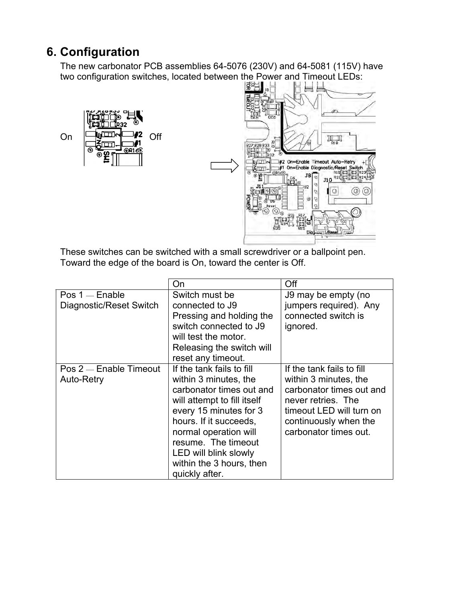# **6. Configuration**

The new carbonator PCB assemblies 64-5076 (230V) and 64-5081 (115V) have two configuration switches, located between the Power and Timeout LEDs:<br>  $\begin{array}{c} \boxed{3} \end{array}$ 





These switches can be switched with a small screwdriver or a ballpoint pen. Toward the edge of the board is On, toward the center is Off.

|                         | On                          | Off                       |
|-------------------------|-----------------------------|---------------------------|
| $Pos 1$ - Enable        | Switch must be              | J9 may be empty (no       |
| Diagnostic/Reset Switch | connected to J9             | jumpers required). Any    |
|                         | Pressing and holding the    | connected switch is       |
|                         | switch connected to J9      | ignored.                  |
|                         | will test the motor.        |                           |
|                         | Releasing the switch will   |                           |
|                         | reset any timeout.          |                           |
| Pos 2 - Enable Timeout  | If the tank fails to fill   | If the tank fails to fill |
| Auto-Retry              | within 3 minutes, the       | within 3 minutes, the     |
|                         | carbonator times out and    | carbonator times out and  |
|                         | will attempt to fill itself | never retries. The        |
|                         | every 15 minutes for 3      | timeout LED will turn on  |
|                         | hours. If it succeeds,      | continuously when the     |
|                         | normal operation will       | carbonator times out.     |
|                         | resume. The timeout         |                           |
|                         | LED will blink slowly       |                           |
|                         | within the 3 hours, then    |                           |
|                         | quickly after.              |                           |